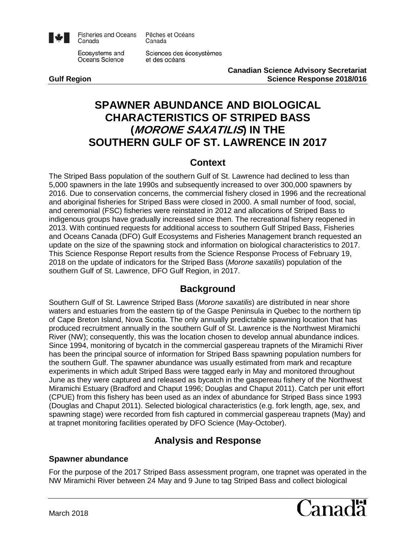

**Fisheries and Oceans** Canada

Ecosystems and Oceans Science

Sciences des écosystèmes et des océans

Pêches et Océans

Canada

**Canadian Science Advisory Secretariat Gulf Region Science Response 2018/016**

# **SPAWNER ABUNDANCE AND BIOLOGICAL CHARACTERISTICS OF STRIPED BASS (MORONE SAXATILIS) IN THE SOUTHERN GULF OF ST. LAWRENCE IN 2017**

# **Context**

The Striped Bass population of the southern Gulf of St. Lawrence had declined to less than 5,000 spawners in the late 1990s and subsequently increased to over 300,000 spawners by 2016. Due to conservation concerns, the commercial fishery closed in 1996 and the recreational and aboriginal fisheries for Striped Bass were closed in 2000. A small number of food, social, and ceremonial (FSC) fisheries were reinstated in 2012 and allocations of Striped Bass to indigenous groups have gradually increased since then. The recreational fishery reopened in 2013. With continued requests for additional access to southern Gulf Striped Bass, Fisheries and Oceans Canada (DFO) Gulf Ecosystems and Fisheries Management branch requested an update on the size of the spawning stock and information on biological characteristics to 2017. This Science Response Report results from the Science Response Process of February 19, 2018 on the update of indicators for the Striped Bass (*Morone saxatilis*) population of the southern Gulf of St. Lawrence, DFO Gulf Region, in 2017.

# **Background**

Southern Gulf of St. Lawrence Striped Bass (*Morone saxatilis*) are distributed in near shore waters and estuaries from the eastern tip of the Gaspe Peninsula in Quebec to the northern tip of Cape Breton Island, Nova Scotia. The only annually predictable spawning location that has produced recruitment annually in the southern Gulf of St. Lawrence is the Northwest Miramichi River (NW); consequently, this was the location chosen to develop annual abundance indices. Since 1994, monitoring of bycatch in the commercial gaspereau trapnets of the Miramichi River has been the principal source of information for Striped Bass spawning population numbers for the southern Gulf. The spawner abundance was usually estimated from mark and recapture experiments in which adult Striped Bass were tagged early in May and monitored throughout June as they were captured and released as bycatch in the gaspereau fishery of the Northwest Miramichi Estuary (Bradford and Chaput 1996; Douglas and Chaput 2011). Catch per unit effort (CPUE) from this fishery has been used as an index of abundance for Striped Bass since 1993 (Douglas and Chaput 2011). Selected biological characteristics (e.g. fork length, age, sex, and spawning stage) were recorded from fish captured in commercial gaspereau trapnets (May) and at trapnet monitoring facilities operated by DFO Science (May-October).

# **Analysis and Response**

### **Spawner abundance**

For the purpose of the 2017 Striped Bass assessment program, one trapnet was operated in the NW Miramichi River between 24 May and 9 June to tag Striped Bass and collect biological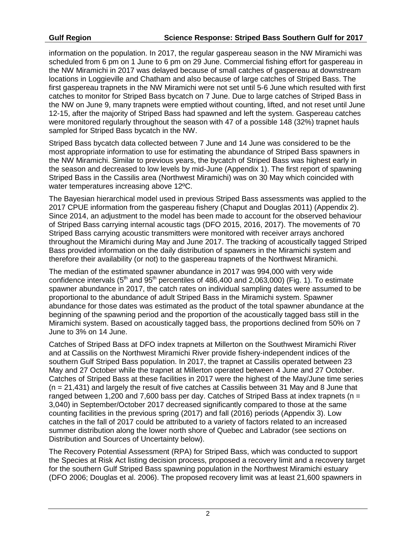information on the population. In 2017, the regular gaspereau season in the NW Miramichi was scheduled from 6 pm on 1 June to 6 pm on 29 June. Commercial fishing effort for gaspereau in the NW Miramichi in 2017 was delayed because of small catches of gaspereau at downstream locations in Loggieville and Chatham and also because of large catches of Striped Bass. The first gaspereau trapnets in the NW Miramichi were not set until 5-6 June which resulted with first catches to monitor for Striped Bass bycatch on 7 June. Due to large catches of Striped Bass in the NW on June 9, many trapnets were emptied without counting, lifted, and not reset until June 12-15, after the majority of Striped Bass had spawned and left the system. Gaspereau catches were monitored regularly throughout the season with 47 of a possible 148 (32%) trapnet hauls sampled for Striped Bass bycatch in the NW.

Striped Bass bycatch data collected between 7 June and 14 June was considered to be the most appropriate information to use for estimating the abundance of Striped Bass spawners in the NW Miramichi. Similar to previous years, the bycatch of Striped Bass was highest early in the season and decreased to low levels by mid-June (Appendix 1). The first report of spawning Striped Bass in the Cassilis area (Northwest Miramichi) was on 30 May which coincided with water temperatures increasing above 12ºC.

The Bayesian hierarchical model used in previous Striped Bass assessments was applied to the 2017 CPUE information from the gaspereau fishery (Chaput and Douglas 2011) (Appendix 2). Since 2014, an adjustment to the model has been made to account for the observed behaviour of Striped Bass carrying internal acoustic tags (DFO 2015, 2016, 2017). The movements of 70 Striped Bass carrying acoustic transmitters were monitored with receiver arrays anchored throughout the Miramichi during May and June 2017. The tracking of acoustically tagged Striped Bass provided information on the daily distribution of spawners in the Miramichi system and therefore their availability (or not) to the gaspereau trapnets of the Northwest Miramichi.

The median of the estimated spawner abundance in 2017 was 994,000 with very wide confidence intervals  $(5<sup>th</sup>$  and  $95<sup>th</sup>$  percentiles of 486,400 and 2,063,000) (Fig. 1). To estimate spawner abundance in 2017, the catch rates on individual sampling dates were assumed to be proportional to the abundance of adult Striped Bass in the Miramichi system. Spawner abundance for those dates was estimated as the product of the total spawner abundance at the beginning of the spawning period and the proportion of the acoustically tagged bass still in the Miramichi system. Based on acoustically tagged bass, the proportions declined from 50% on 7 June to 3% on 14 June.

Catches of Striped Bass at DFO index trapnets at Millerton on the Southwest Miramichi River and at Cassilis on the Northwest Miramichi River provide fishery-independent indices of the southern Gulf Striped Bass population. In 2017, the trapnet at Cassilis operated between 23 May and 27 October while the trapnet at Millerton operated between 4 June and 27 October. Catches of Striped Bass at these facilities in 2017 were the highest of the May/June time series (n = 21,431) and largely the result of five catches at Cassilis between 31 May and 8 June that ranged between 1,200 and 7,600 bass per day. Catches of Striped Bass at index trapnets ( $n =$ 3,040) in September/October 2017 decreased significantly compared to those at the same counting facilities in the previous spring (2017) and fall (2016) periods (Appendix 3). Low catches in the fall of 2017 could be attributed to a variety of factors related to an increased summer distribution along the lower north shore of Quebec and Labrador (see sections on Distribution and Sources of Uncertainty below).

The Recovery Potential Assessment (RPA) for Striped Bass, which was conducted to support the Species at Risk Act listing decision process, proposed a recovery limit and a recovery target for the southern Gulf Striped Bass spawning population in the Northwest Miramichi estuary (DFO 2006; Douglas et al. 2006). The proposed recovery limit was at least 21,600 spawners in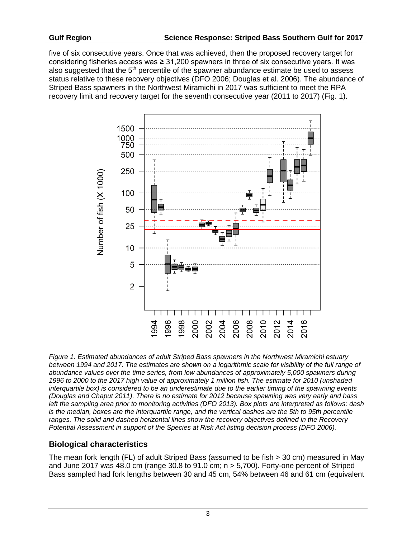five of six consecutive years. Once that was achieved, then the proposed recovery target for considering fisheries access was ≥ 31,200 spawners in three of six consecutive years. It was also suggested that the  $5<sup>th</sup>$  percentile of the spawner abundance estimate be used to assess status relative to these recovery objectives (DFO 2006; Douglas et al. 2006). The abundance of Striped Bass spawners in the Northwest Miramichi in 2017 was sufficient to meet the RPA recovery limit and recovery target for the seventh consecutive year (2011 to 2017) (Fig. 1).



*Figure 1. Estimated abundances of adult Striped Bass spawners in the Northwest Miramichi estuary between 1994 and 2017. The estimates are shown on a logarithmic scale for visibility of the full range of abundance values over the time series, from low abundances of approximately 5,000 spawners during 1996 to 2000 to the 2017 high value of approximately 1 million fish. The estimate for 2010 (unshaded interquartile box) is considered to be an underestimate due to the earlier timing of the spawning events (Douglas and Chaput 2011). There is no estimate for 2012 because spawning was very early and bass left the sampling area prior to monitoring activities (DFO 2013). Box plots are interpreted as follows: dash is the median, boxes are the interquartile range, and the vertical dashes are the 5th to 95th percentile ranges. The solid and dashed horizontal lines show the recovery objectives defined in the Recovery Potential Assessment in support of the Species at Risk Act listing decision process (DFO 2006).*

### **Biological characteristics**

The mean fork length (FL) of adult Striped Bass (assumed to be fish > 30 cm) measured in May and June 2017 was 48.0 cm (range 30.8 to 91.0 cm; n > 5,700). Forty-one percent of Striped Bass sampled had fork lengths between 30 and 45 cm, 54% between 46 and 61 cm (equivalent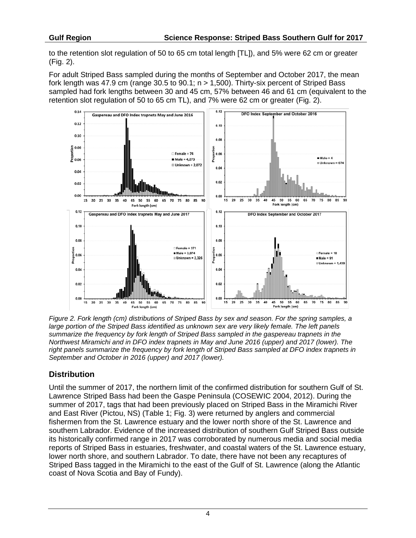to the retention slot regulation of 50 to 65 cm total length [TL]), and 5% were 62 cm or greater (Fig. 2).

For adult Striped Bass sampled during the months of September and October 2017, the mean fork length was 47.9 cm (range 30.5 to 90.1; n > 1,500). Thirty-six percent of Striped Bass sampled had fork lengths between 30 and 45 cm, 57% between 46 and 61 cm (equivalent to the retention slot regulation of 50 to 65 cm TL), and 7% were 62 cm or greater (Fig. 2).



*Figure 2. Fork length (cm) distributions of Striped Bass by sex and season. For the spring samples, a large portion of the Striped Bass identified as unknown sex are very likely female. The left panels summarize the frequency by fork length of Striped Bass sampled in the gaspereau trapnets in the Northwest Miramichi and in DFO index trapnets in May and June 2016 (upper) and 2017 (lower). The right panels summarize the frequency by fork length of Striped Bass sampled at DFO index trapnets in September and October in 2016 (upper) and 2017 (lower).* 

### **Distribution**

Until the summer of 2017, the northern limit of the confirmed distribution for southern Gulf of St. Lawrence Striped Bass had been the Gaspe Peninsula (COSEWIC 2004, 2012). During the summer of 2017, tags that had been previously placed on Striped Bass in the Miramichi River and East River (Pictou, NS) (Table 1; Fig. 3) were returned by anglers and commercial fishermen from the St. Lawrence estuary and the lower north shore of the St. Lawrence and southern Labrador. Evidence of the increased distribution of southern Gulf Striped Bass outside its historically confirmed range in 2017 was corroborated by numerous media and social media reports of Striped Bass in estuaries, freshwater, and coastal waters of the St. Lawrence estuary, lower north shore, and southern Labrador. To date, there have not been any recaptures of Striped Bass tagged in the Miramichi to the east of the Gulf of St. Lawrence (along the Atlantic coast of Nova Scotia and Bay of Fundy).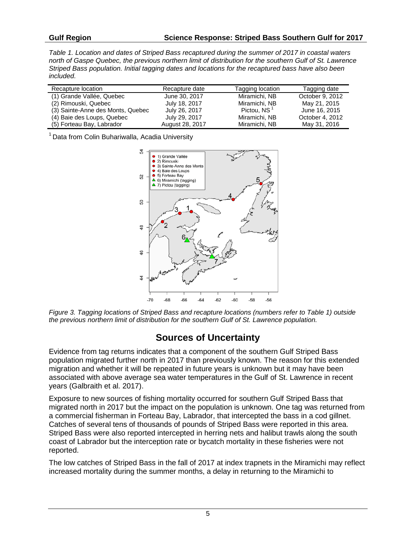*Table 1. Location and dates of Striped Bass recaptured during the summer of 2017 in coastal waters north of Gaspe Quebec, the previous northern limit of distribution for the southern Gulf of St. Lawrence Striped Bass population. Initial tagging dates and locations for the recaptured bass have also been included.*

| Recapture location                | Recapture date  | Tagging location        | Tagging date    |
|-----------------------------------|-----------------|-------------------------|-----------------|
| (1) Grande Vallée, Quebec         | June 30, 2017   | Miramichi, NB           | October 9, 2012 |
| (2) Rimouski, Quebec              | July 18, 2017   | Miramichi, NB           | May 21, 2015    |
| (3) Sainte-Anne des Monts, Quebec | July 26, 2017   | Pictou, NS <sup>1</sup> | June 16, 2015   |
| (4) Baie des Loups, Quebec        | July 29, 2017   | Miramichi, NB           | October 4, 2012 |
| (5) Forteau Bay, Labrador         | August 28, 2017 | Miramichi, NB           | May 31, 2016    |

<sup>1</sup> Data from Colin Buhariwalla, Acadia University



*Figure 3. Tagging locations of Striped Bass and recapture locations (numbers refer to Table 1) outside the previous northern limit of distribution for the southern Gulf of St. Lawrence population.*

# **Sources of Uncertainty**

Evidence from tag returns indicates that a component of the southern Gulf Striped Bass population migrated further north in 2017 than previously known. The reason for this extended migration and whether it will be repeated in future years is unknown but it may have been associated with above average sea water temperatures in the Gulf of St. Lawrence in recent years (Galbraith et al. 2017).

Exposure to new sources of fishing mortality occurred for southern Gulf Striped Bass that migrated north in 2017 but the impact on the population is unknown. One tag was returned from a commercial fisherman in Forteau Bay, Labrador, that intercepted the bass in a cod gillnet. Catches of several tens of thousands of pounds of Striped Bass were reported in this area. Striped Bass were also reported intercepted in herring nets and halibut trawls along the south coast of Labrador but the interception rate or bycatch mortality in these fisheries were not reported.

The low catches of Striped Bass in the fall of 2017 at index trapnets in the Miramichi may reflect increased mortality during the summer months, a delay in returning to the Miramichi to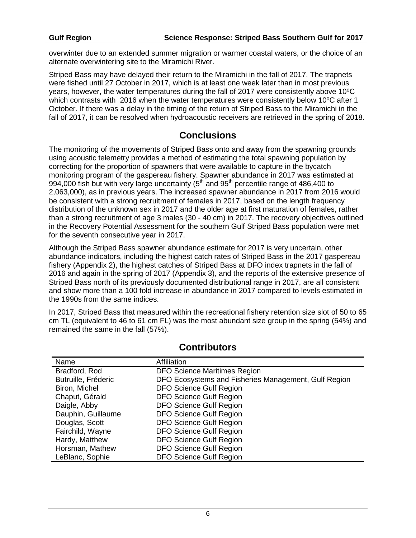overwinter due to an extended summer migration or warmer coastal waters, or the choice of an alternate overwintering site to the Miramichi River.

Striped Bass may have delayed their return to the Miramichi in the fall of 2017. The trapnets were fished until 27 October in 2017, which is at least one week later than in most previous years, however, the water temperatures during the fall of 2017 were consistently above 10ºC which contrasts with 2016 when the water temperatures were consistently below 10<sup>o</sup>C after 1 October. If there was a delay in the timing of the return of Striped Bass to the Miramichi in the fall of 2017, it can be resolved when hydroacoustic receivers are retrieved in the spring of 2018.

# **Conclusions**

The monitoring of the movements of Striped Bass onto and away from the spawning grounds using acoustic telemetry provides a method of estimating the total spawning population by correcting for the proportion of spawners that were available to capture in the bycatch monitoring program of the gaspereau fishery. Spawner abundance in 2017 was estimated at 994,000 fish but with very large uncertainty (5<sup>th</sup> and 95<sup>th</sup> percentile range of 486,400 to 2,063,000), as in previous years. The increased spawner abundance in 2017 from 2016 would be consistent with a strong recruitment of females in 2017, based on the length frequency distribution of the unknown sex in 2017 and the older age at first maturation of females, rather than a strong recruitment of age 3 males (30 - 40 cm) in 2017. The recovery objectives outlined in the Recovery Potential Assessment for the southern Gulf Striped Bass population were met for the seventh consecutive year in 2017.

Although the Striped Bass spawner abundance estimate for 2017 is very uncertain, other abundance indicators, including the highest catch rates of Striped Bass in the 2017 gaspereau fishery (Appendix 2), the highest catches of Striped Bass at DFO index trapnets in the fall of 2016 and again in the spring of 2017 (Appendix 3), and the reports of the extensive presence of Striped Bass north of its previously documented distributional range in 2017, are all consistent and show more than a 100 fold increase in abundance in 2017 compared to levels estimated in the 1990s from the same indices.

In 2017, Striped Bass that measured within the recreational fishery retention size slot of 50 to 65 cm TL (equivalent to 46 to 61 cm FL) was the most abundant size group in the spring (54%) and remained the same in the fall (57%).

| Name                | Affiliation                                          |
|---------------------|------------------------------------------------------|
| Bradford, Rod       | <b>DFO Science Maritimes Region</b>                  |
| Butruille, Fréderic | DFO Ecosystems and Fisheries Management, Gulf Region |
| Biron, Michel       | <b>DFO Science Gulf Region</b>                       |
| Chaput, Gérald      | <b>DFO Science Gulf Region</b>                       |
| Daigle, Abby        | <b>DFO Science Gulf Region</b>                       |
| Dauphin, Guillaume  | <b>DFO Science Gulf Region</b>                       |
| Douglas, Scott      | <b>DFO Science Gulf Region</b>                       |
| Fairchild, Wayne    | <b>DFO Science Gulf Region</b>                       |
| Hardy, Matthew      | <b>DFO Science Gulf Region</b>                       |
| Horsman, Mathew     | <b>DFO Science Gulf Region</b>                       |
| LeBlanc, Sophie     | <b>DFO Science Gulf Region</b>                       |

### **Contributors**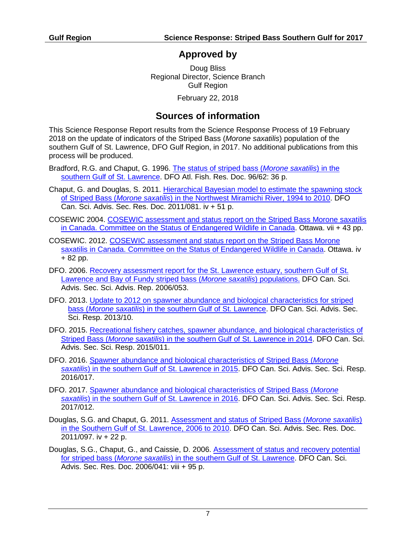## **Approved by**

Doug Bliss Regional Director, Science Branch Gulf Region

February 22, 2018

# **Sources of information**

This Science Response Report results from the Science Response Process of 19 February 2018 on the update of indicators of the Striped Bass (*Morone saxatilis*) population of the southern Gulf of St. Lawrence, DFO Gulf Region, in 2017. No additional publications from this process will be produced.

- Bradford, R.G. and Chaput, G. 1996. [The status of striped bass \(](http://www.dfo-mpo.gc.ca/csas-sccs/publications/resdocs-docrech/1996/1996_062-eng.htm)*Morone saxatilis*) in the [southern Gulf of St. Lawrence.](http://www.dfo-mpo.gc.ca/csas-sccs/publications/resdocs-docrech/1996/1996_062-eng.htm) DFO Atl. Fish. Res. Doc. 96/62: 36 p.
- Chaput, G. and Douglas, S. 2011. [Hierarchical Bayesian model to estimate the spawning stock](http://www.dfo-mpo.gc.ca/csas-sccs/Publications/ResDocs-DocRech/2011/2011_081-eng.html)  of Striped Bass (*Morone saxatilis*[\) in the Northwest Miramichi River, 1994 to 2010.](http://www.dfo-mpo.gc.ca/csas-sccs/Publications/ResDocs-DocRech/2011/2011_081-eng.html) DFO Can. Sci. Advis. Sec. Res. Doc. 2011/081. iv + 51 p.
- COSEWIC 2004. [COSEWIC assessment and status report on the Striped Bass Morone saxatilis](http://www.sararegistry.gc.ca/virtual_sara/files/cosewic/sr_striped_bass_e.pdf)  in [Canada. Committee on the Status of Endangered Wildlife in Canada.](http://www.sararegistry.gc.ca/virtual_sara/files/cosewic/sr_striped_bass_e.pdf) Ottawa. vii + 43 pp.
- COSEWIC. 2012. [COSEWIC assessment and status report on the Striped Bass Morone](http://www.sararegistry.gc.ca/virtual_sara/files/cosewic/sr_bar_raye_striped_bass_1213a_e.pdf)  [saxatilis in Canada. Committee on the Status of Endangered Wildlife in Canada.](http://www.sararegistry.gc.ca/virtual_sara/files/cosewic/sr_bar_raye_striped_bass_1213a_e.pdf) Ottawa. iv + 82 pp.
- DFO. 2006. [Recovery assessment report for the St. Lawrence estuary, southern Gulf of St.](http://www.dfo-mpo.gc.ca/csas-sccs/Publications/SAR-AS/2006/2006_053-eng.htm)  [Lawrence and Bay of Fundy striped bass \(](http://www.dfo-mpo.gc.ca/csas-sccs/Publications/SAR-AS/2006/2006_053-eng.htm)*Morone saxatilis*) populations. DFO Can. Sci. Advis. Sec. Sci. Advis. Rep. 2006/053.
- DFO. 2013. [Update to 2012 on spawner abundance and biological characteristics for striped](http://www.dfo-mpo.gc.ca/csas-sccs/Publications/ScR-RS/2013/2013_010-eng.html)  bass (*Morone saxatilis*[\) in the southern Gulf of St. Lawrence.](http://www.dfo-mpo.gc.ca/csas-sccs/Publications/ScR-RS/2013/2013_010-eng.html) DFO Can. Sci. Advis. Sec. Sci. Resp. 2013/10.
- DFO. 2015. Recreational fishery catches, spawner abundance, and biological characteristics of Striped Bass (*Morone saxatilis*[\) in the southern Gulf of St. Lawrence in 2014.](http://www.dfo-mpo.gc.ca/csas-sccs/publications/scr-rs/2015/2015_011-eng.html) DFO Can. Sci. Advis. Sec. Sci. Resp. 2015/011.
- DFO. 2016. [Spawner abundance and biological characteristics of Striped Bass \(](http://www.dfo-mpo.gc.ca/csas-sccs/Publications/ScR-RS/2016/2016_017-eng.html)*Morone saxatilis*[\) in the southern Gulf of St. Lawrence in 2015.](http://www.dfo-mpo.gc.ca/csas-sccs/Publications/ScR-RS/2016/2016_017-eng.html) DFO Can. Sci. Advis. Sec. Sci. Resp. 2016/017.
- DFO. 2017. [Spawner abundance and biological characteristics of Striped Bass \(](http://www.dfo-mpo.gc.ca/csas-sccs/Publications/ScR-RS/2017/2017_012-eng.html)*Morone saxatilis*[\) in the southern Gulf of St. Lawrence in 2016.](http://www.dfo-mpo.gc.ca/csas-sccs/Publications/ScR-RS/2017/2017_012-eng.html) DFO Can. Sci. Advis. Sec. Sci. Resp. 2017/012.
- Douglas, S.G. and Chaput, G. 2011. [Assessment and status of Striped Bass \(](http://www.dfo-mpo.gc.ca/csas-sccs/Publications/ResDocs-DocRech/2011/2011_097-eng.html)*Morone saxatilis*) [in the Southern Gulf of St. Lawrence, 2006 to 2010.](http://www.dfo-mpo.gc.ca/csas-sccs/Publications/ResDocs-DocRech/2011/2011_097-eng.html) DFO Can. Sci. Advis. Sec. Res. Doc. 2011/097. iv + 22 p.
- Douglas, S.G., Chaput, G., and Caissie, D. 2006. [Assessment of status and recovery potential](http://www.dfo-mpo.gc.ca/csas-sccs/publications/resdocs-docrech/2006/2006_041-eng.htm)  for striped bass (*Morone saxatilis*[\) in the southern Gulf of St. Lawrence.](http://www.dfo-mpo.gc.ca/csas-sccs/publications/resdocs-docrech/2006/2006_041-eng.htm) DFO Can. Sci. Advis. Sec. Res. Doc. 2006/041: viii + 95 p.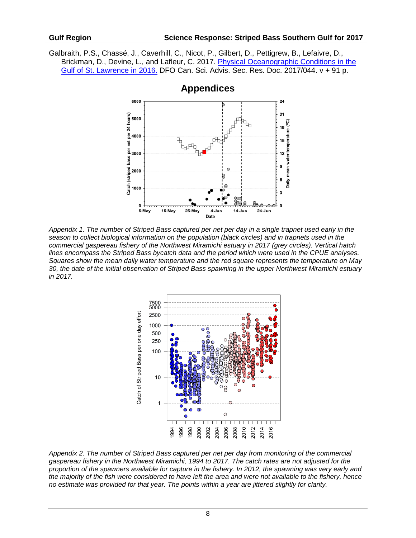Galbraith, P.S., Chassé, J., Caverhill, C., Nicot, P., Gilbert, D., Pettigrew, B., Lefaivre, D., Brickman, D., Devine, L., and Lafleur, C. 2017. Physical Oceanographic Conditions in the [Gulf of St. Lawrence in 2016.](http://www.dfo-mpo.gc.ca/csas-sccs/Publications/ResDocs-DocRech/2017/2017_044-eng.html) DFO Can. Sci. Advis. Sec. Res. Doc. 2017/044. v + 91 p.



**Appendices**

*Appendix 1. The number of Striped Bass captured per net per day in a single trapnet used early in the season to collect biological information on the population (black circles) and in trapnets used in the commercial gaspereau fishery of the Northwest Miramichi estuary in 2017 (grey circles). Vertical hatch lines encompass the Striped Bass bycatch data and the period which were used in the CPUE analyses. Squares show the mean daily water temperature and the red square represents the temperature on May 30, the date of the initial observation of Striped Bass spawning in the upper Northwest Miramichi estuary in 2017.* 



*Appendix 2. The number of Striped Bass captured per net per day from monitoring of the commercial gaspereau fishery in the Northwest Miramichi, 1994 to 2017. The catch rates are not adjusted for the proportion of the spawners available for capture in the fishery. In 2012, the spawning was very early and the majority of the fish were considered to have left the area and were not available to the fishery, hence no estimate was provided for that year. The points within a year are jittered slightly for clarity.*

8